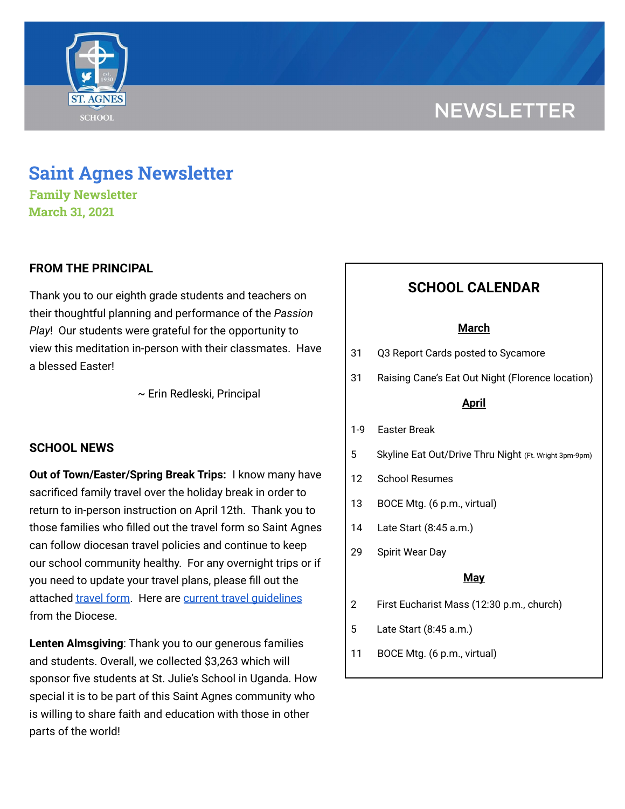# **NEWSLETTER**



## **Saint Agnes Newsletter**

**Family Newsletter March 31, 2021**

### **FROM THE PRINCIPAL**

Thank you to our eighth grade students and teachers on their thoughtful planning and performance of the *Passion Play*! Our students were grateful for the opportunity to view this meditation in-person with their classmates. Have a blessed Easter!

~ Erin Redleski, Principal

#### **SCHOOL NEWS**

**Out of Town/Easter/Spring Break Trips:** I know many have sacrificed family travel over the holiday break in order to return to in-person instruction on April 12th. Thank you to those families who filled out the travel form so Saint Agnes can follow diocesan travel policies and continue to keep our school community healthy. For any overnight trips or if you need to update your travel plans, please fill out the attached [travel](https://docs.google.com/forms/d/1G4JmfFWk29Sxg_3O81r5EB0F7IYJyTofEAGJ9wd5aO4/edit?ts=5f985dbb&gxids=7628) form. Here are current travel [guidelines](https://school.saintagnes.com/wp-content/uploads/2021/03/Travel-Quarentine-Update-1.22.21.pdf) from the Diocese.

**Lenten Almsgiving**: Thank you to our generous families and students. Overall, we collected \$3,263 which will sponsor five students at St. Julie's School in Uganda. How special it is to be part of this Saint Agnes community who is willing to share faith and education with those in other parts of the world!

### **SCHOOL CALENDAR**

#### **March**

- 31 Q3 Report Cards posted to Sycamore
- 31 Raising Cane's Eat Out Night (Florence location)

#### **April**

- 1-9 Easter Break
- 5 Skyline Eat Out/Drive Thru Night (Ft. Wright 3pm-9pm)
- 12 School Resumes
- 13 BOCE Mtg. (6 p.m., virtual)
- 14 Late Start (8:45 a.m.)
- 29 Spirit Wear Day

#### **May**

- 2 First Eucharist Mass (12:30 p.m., church)
- 5 Late Start (8:45 a.m.)
- 11 BOCE Mtg. (6 p.m., virtual)